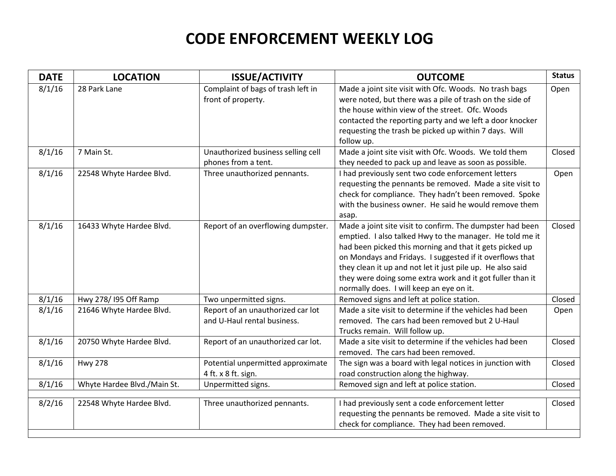## **CODE ENFORCEMENT WEEKLY LOG**

| <b>DATE</b> | <b>LOCATION</b>             | <b>ISSUE/ACTIVITY</b>                                            | <b>OUTCOME</b>                                                                                                                                                                                                                                                                                                                                                                                                      | <b>Status</b> |
|-------------|-----------------------------|------------------------------------------------------------------|---------------------------------------------------------------------------------------------------------------------------------------------------------------------------------------------------------------------------------------------------------------------------------------------------------------------------------------------------------------------------------------------------------------------|---------------|
| 8/1/16      | 28 Park Lane                | Complaint of bags of trash left in<br>front of property.         | Made a joint site visit with Ofc. Woods. No trash bags<br>were noted, but there was a pile of trash on the side of<br>the house within view of the street. Ofc. Woods<br>contacted the reporting party and we left a door knocker<br>requesting the trash be picked up within 7 days. Will<br>follow up.                                                                                                            | Open          |
| 8/1/16      | 7 Main St.                  | Unauthorized business selling cell<br>phones from a tent.        | Made a joint site visit with Ofc. Woods. We told them<br>they needed to pack up and leave as soon as possible.                                                                                                                                                                                                                                                                                                      | Closed        |
| 8/1/16      | 22548 Whyte Hardee Blvd.    | Three unauthorized pennants.                                     | I had previously sent two code enforcement letters<br>requesting the pennants be removed. Made a site visit to<br>check for compliance. They hadn't been removed. Spoke<br>with the business owner. He said he would remove them<br>asap.                                                                                                                                                                           | Open          |
| 8/1/16      | 16433 Whyte Hardee Blvd.    | Report of an overflowing dumpster.                               | Made a joint site visit to confirm. The dumpster had been<br>emptied. I also talked Hwy to the manager. He told me it<br>had been picked this morning and that it gets picked up<br>on Mondays and Fridays. I suggested if it overflows that<br>they clean it up and not let it just pile up. He also said<br>they were doing some extra work and it got fuller than it<br>normally does. I will keep an eye on it. | Closed        |
| 8/1/16      | Hwy 278/195 Off Ramp        | Two unpermitted signs.                                           | Removed signs and left at police station.                                                                                                                                                                                                                                                                                                                                                                           | Closed        |
| 8/1/16      | 21646 Whyte Hardee Blvd.    | Report of an unauthorized car lot<br>and U-Haul rental business. | Made a site visit to determine if the vehicles had been<br>removed. The cars had been removed but 2 U-Haul<br>Trucks remain. Will follow up.                                                                                                                                                                                                                                                                        | Open          |
| 8/1/16      | 20750 Whyte Hardee Blvd.    | Report of an unauthorized car lot.                               | Made a site visit to determine if the vehicles had been<br>removed. The cars had been removed.                                                                                                                                                                                                                                                                                                                      | Closed        |
| 8/1/16      | <b>Hwy 278</b>              | Potential unpermitted approximate<br>4 ft. x 8 ft. sign.         | The sign was a board with legal notices in junction with<br>road construction along the highway.                                                                                                                                                                                                                                                                                                                    | Closed        |
| 8/1/16      | Whyte Hardee Blvd./Main St. | Unpermitted signs.                                               | Removed sign and left at police station.                                                                                                                                                                                                                                                                                                                                                                            | Closed        |
| 8/2/16      | 22548 Whyte Hardee Blvd.    | Three unauthorized pennants.                                     | I had previously sent a code enforcement letter<br>requesting the pennants be removed. Made a site visit to<br>check for compliance. They had been removed.                                                                                                                                                                                                                                                         | Closed        |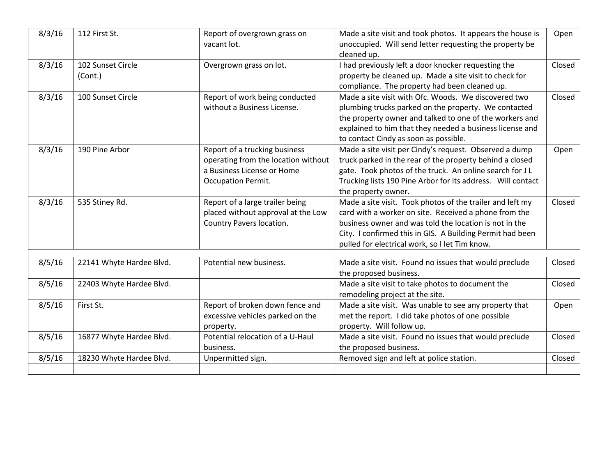| 8/3/16 | 112 First St.                | Report of overgrown grass on<br>vacant lot.                                                                              | Made a site visit and took photos. It appears the house is<br>unoccupied. Will send letter requesting the property be<br>cleaned up.                                                                                                                                                        | Open   |
|--------|------------------------------|--------------------------------------------------------------------------------------------------------------------------|---------------------------------------------------------------------------------------------------------------------------------------------------------------------------------------------------------------------------------------------------------------------------------------------|--------|
| 8/3/16 | 102 Sunset Circle<br>(Cont.) | Overgrown grass on lot.                                                                                                  | I had previously left a door knocker requesting the<br>property be cleaned up. Made a site visit to check for<br>compliance. The property had been cleaned up.                                                                                                                              | Closed |
| 8/3/16 | 100 Sunset Circle            | Report of work being conducted<br>without a Business License.                                                            | Made a site visit with Ofc. Woods. We discovered two<br>plumbing trucks parked on the property. We contacted<br>the property owner and talked to one of the workers and<br>explained to him that they needed a business license and<br>to contact Cindy as soon as possible.                | Closed |
| 8/3/16 | 190 Pine Arbor               | Report of a trucking business<br>operating from the location without<br>a Business License or Home<br>Occupation Permit. | Made a site visit per Cindy's request. Observed a dump<br>truck parked in the rear of the property behind a closed<br>gate. Took photos of the truck. An online search for JL<br>Trucking lists 190 Pine Arbor for its address. Will contact<br>the property owner.                         | Open   |
| 8/3/16 | 535 Stiney Rd.               | Report of a large trailer being<br>placed without approval at the Low<br>Country Pavers location.                        | Made a site visit. Took photos of the trailer and left my<br>card with a worker on site. Received a phone from the<br>business owner and was told the location is not in the<br>City. I confirmed this in GIS. A Building Permit had been<br>pulled for electrical work, so I let Tim know. | Closed |
| 8/5/16 | 22141 Whyte Hardee Blvd.     | Potential new business.                                                                                                  | Made a site visit. Found no issues that would preclude<br>the proposed business.                                                                                                                                                                                                            | Closed |
| 8/5/16 | 22403 Whyte Hardee Blvd.     |                                                                                                                          | Made a site visit to take photos to document the<br>remodeling project at the site.                                                                                                                                                                                                         | Closed |
| 8/5/16 | First St.                    | Report of broken down fence and<br>excessive vehicles parked on the<br>property.                                         | Made a site visit. Was unable to see any property that<br>met the report. I did take photos of one possible<br>property. Will follow up.                                                                                                                                                    | Open   |
| 8/5/16 | 16877 Whyte Hardee Blvd.     | Potential relocation of a U-Haul<br>business.                                                                            | Made a site visit. Found no issues that would preclude<br>the proposed business.                                                                                                                                                                                                            | Closed |
| 8/5/16 | 18230 Whyte Hardee Blvd.     | Unpermitted sign.                                                                                                        | Removed sign and left at police station.                                                                                                                                                                                                                                                    | Closed |